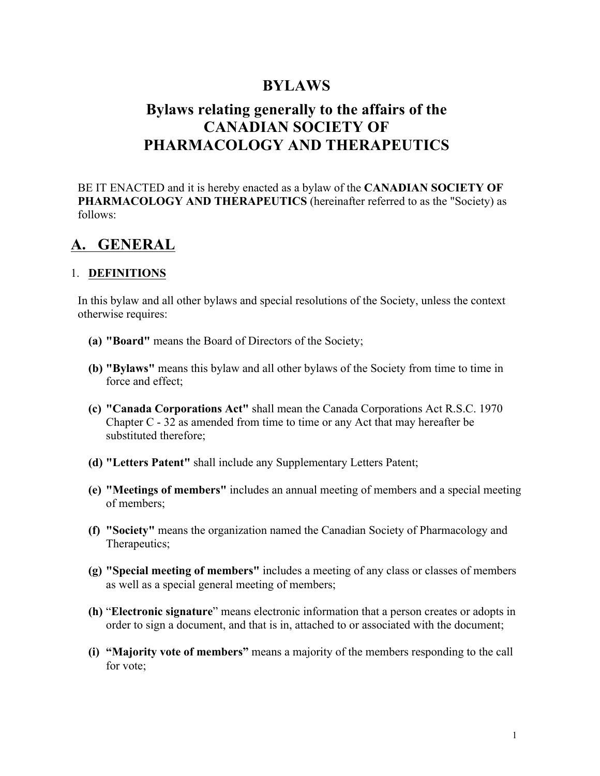# **BYLAWS**

# **Bylaws relating generally to the affairs of the CANADIAN SOCIETY OF PHARMACOLOGY AND THERAPEUTICS**

BE IT ENACTED and it is hereby enacted as a bylaw of the **CANADIAN SOCIETY OF PHARMACOLOGY AND THERAPEUTICS** (hereinafter referred to as the "Society) as follows:

# **A. GENERAL**

# 1. **DEFINITIONS**

In this bylaw and all other bylaws and special resolutions of the Society, unless the context otherwise requires:

- **(a) "Board"** means the Board of Directors of the Society;
- **(b) "Bylaws"** means this bylaw and all other bylaws of the Society from time to time in force and effect;
- **(c) "Canada Corporations Act"** shall mean the Canada Corporations Act R.S.C. 1970 Chapter C - 32 as amended from time to time or any Act that may hereafter be substituted therefore;
- **(d) "Letters Patent"** shall include any Supplementary Letters Patent;
- **(e) "Meetings of members"** includes an annual meeting of members and a special meeting of members;
- **(f) "Society"** means the organization named the Canadian Society of Pharmacology and Therapeutics;
- **(g) "Special meeting of members"** includes a meeting of any class or classes of members as well as a special general meeting of members;
- **(h)** "**Electronic signature**" means electronic information that a person creates or adopts in order to sign a document, and that is in, attached to or associated with the document;
- **(i) "Majority vote of members"** means a majority of the members responding to the call for vote;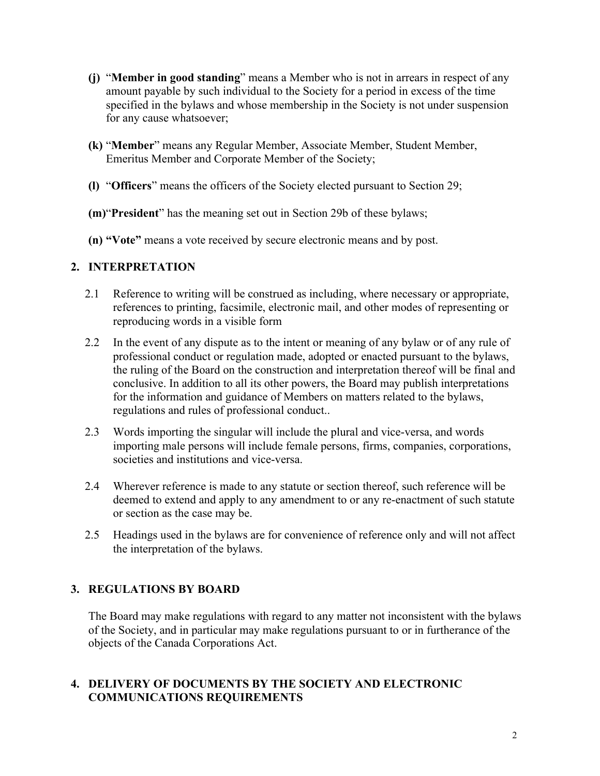- **(j)** "**Member in good standing**" means a Member who is not in arrears in respect of any amount payable by such individual to the Society for a period in excess of the time specified in the bylaws and whose membership in the Society is not under suspension for any cause whatsoever;
- **(k)** "**Member**" means any Regular Member, Associate Member, Student Member, Emeritus Member and Corporate Member of the Society;
- **(l)** "**Officers**" means the officers of the Society elected pursuant to Section 29;
- **(m)**"**President**" has the meaning set out in Section 29b of these bylaws;
- **(n) "Vote"** means a vote received by secure electronic means and by post.

# **2. INTERPRETATION**

- 2.1 Reference to writing will be construed as including, where necessary or appropriate, references to printing, facsimile, electronic mail, and other modes of representing or reproducing words in a visible form
- 2.2 In the event of any dispute as to the intent or meaning of any bylaw or of any rule of professional conduct or regulation made, adopted or enacted pursuant to the bylaws, the ruling of the Board on the construction and interpretation thereof will be final and conclusive. In addition to all its other powers, the Board may publish interpretations for the information and guidance of Members on matters related to the bylaws, regulations and rules of professional conduct..
- 2.3 Words importing the singular will include the plural and vice-versa, and words importing male persons will include female persons, firms, companies, corporations, societies and institutions and vice-versa.
- 2.4 Wherever reference is made to any statute or section thereof, such reference will be deemed to extend and apply to any amendment to or any re-enactment of such statute or section as the case may be.
- 2.5 Headings used in the bylaws are for convenience of reference only and will not affect the interpretation of the bylaws.

# **3. REGULATIONS BY BOARD**

The Board may make regulations with regard to any matter not inconsistent with the bylaws of the Society, and in particular may make regulations pursuant to or in furtherance of the objects of the Canada Corporations Act.

# **4. DELIVERY OF DOCUMENTS BY THE SOCIETY AND ELECTRONIC COMMUNICATIONS REQUIREMENTS**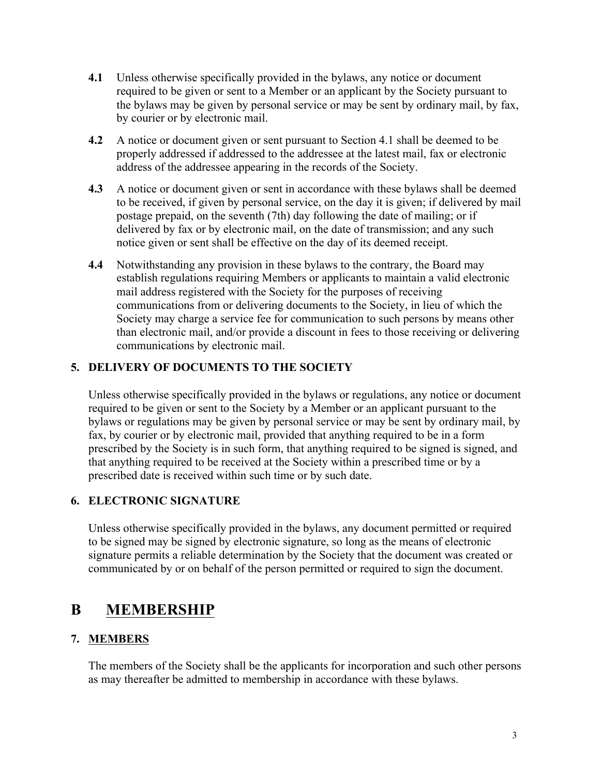- **4.1** Unless otherwise specifically provided in the bylaws, any notice or document required to be given or sent to a Member or an applicant by the Society pursuant to the bylaws may be given by personal service or may be sent by ordinary mail, by fax, by courier or by electronic mail.
- **4.2** A notice or document given or sent pursuant to Section 4.1 shall be deemed to be properly addressed if addressed to the addressee at the latest mail, fax or electronic address of the addressee appearing in the records of the Society.
- **4.3** A notice or document given or sent in accordance with these bylaws shall be deemed to be received, if given by personal service, on the day it is given; if delivered by mail postage prepaid, on the seventh (7th) day following the date of mailing; or if delivered by fax or by electronic mail, on the date of transmission; and any such notice given or sent shall be effective on the day of its deemed receipt.
- **4.4** Notwithstanding any provision in these bylaws to the contrary, the Board may establish regulations requiring Members or applicants to maintain a valid electronic mail address registered with the Society for the purposes of receiving communications from or delivering documents to the Society, in lieu of which the Society may charge a service fee for communication to such persons by means other than electronic mail, and/or provide a discount in fees to those receiving or delivering communications by electronic mail.

# **5. DELIVERY OF DOCUMENTS TO THE SOCIETY**

Unless otherwise specifically provided in the bylaws or regulations, any notice or document required to be given or sent to the Society by a Member or an applicant pursuant to the bylaws or regulations may be given by personal service or may be sent by ordinary mail, by fax, by courier or by electronic mail, provided that anything required to be in a form prescribed by the Society is in such form, that anything required to be signed is signed, and that anything required to be received at the Society within a prescribed time or by a prescribed date is received within such time or by such date.

# **6. ELECTRONIC SIGNATURE**

Unless otherwise specifically provided in the bylaws, any document permitted or required to be signed may be signed by electronic signature, so long as the means of electronic signature permits a reliable determination by the Society that the document was created or communicated by or on behalf of the person permitted or required to sign the document.

# **B MEMBERSHIP**

# **7. MEMBERS**

The members of the Society shall be the applicants for incorporation and such other persons as may thereafter be admitted to membership in accordance with these bylaws.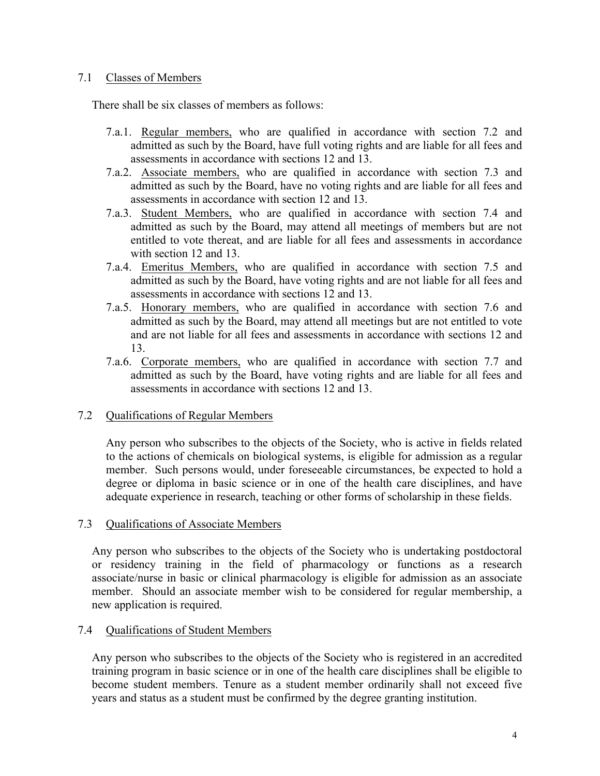### 7.1 Classes of Members

There shall be six classes of members as follows:

- 7.a.1. Regular members, who are qualified in accordance with section 7.2 and admitted as such by the Board, have full voting rights and are liable for all fees and assessments in accordance with sections 12 and 13.
- 7.a.2. Associate members, who are qualified in accordance with section 7.3 and admitted as such by the Board, have no voting rights and are liable for all fees and assessments in accordance with section 12 and 13.
- 7.a.3. Student Members, who are qualified in accordance with section 7.4 and admitted as such by the Board, may attend all meetings of members but are not entitled to vote thereat, and are liable for all fees and assessments in accordance with section 12 and 13.
- 7.a.4. Emeritus Members, who are qualified in accordance with section 7.5 and admitted as such by the Board, have voting rights and are not liable for all fees and assessments in accordance with sections 12 and 13.
- 7.a.5. Honorary members, who are qualified in accordance with section 7.6 and admitted as such by the Board, may attend all meetings but are not entitled to vote and are not liable for all fees and assessments in accordance with sections 12 and 13.
- 7.a.6. Corporate members, who are qualified in accordance with section 7.7 and admitted as such by the Board, have voting rights and are liable for all fees and assessments in accordance with sections 12 and 13.

# 7.2 Qualifications of Regular Members

Any person who subscribes to the objects of the Society, who is active in fields related to the actions of chemicals on biological systems, is eligible for admission as a regular member. Such persons would, under foreseeable circumstances, be expected to hold a degree or diploma in basic science or in one of the health care disciplines, and have adequate experience in research, teaching or other forms of scholarship in these fields.

# 7.3 Qualifications of Associate Members

Any person who subscribes to the objects of the Society who is undertaking postdoctoral or residency training in the field of pharmacology or functions as a research associate/nurse in basic or clinical pharmacology is eligible for admission as an associate member. Should an associate member wish to be considered for regular membership, a new application is required.

# 7.4 Qualifications of Student Members

Any person who subscribes to the objects of the Society who is registered in an accredited training program in basic science or in one of the health care disciplines shall be eligible to become student members. Tenure as a student member ordinarily shall not exceed five years and status as a student must be confirmed by the degree granting institution.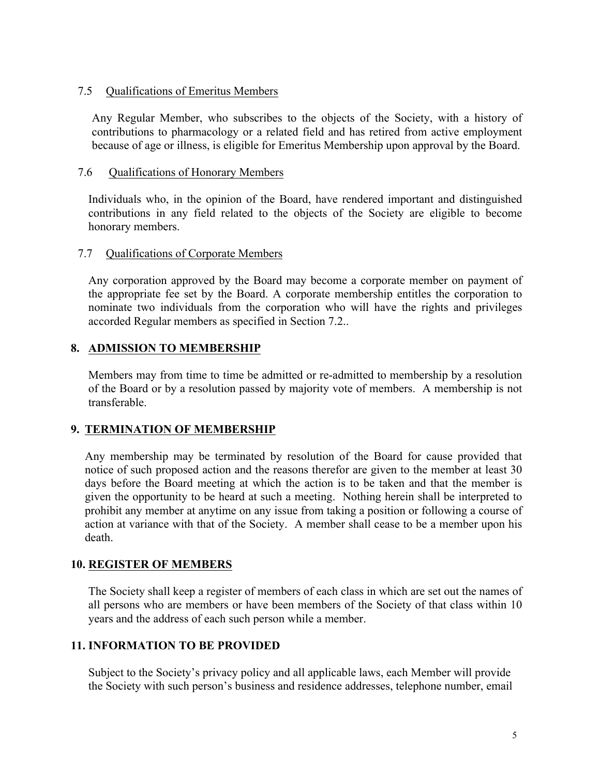### 7.5 Qualifications of Emeritus Members

Any Regular Member, who subscribes to the objects of the Society, with a history of contributions to pharmacology or a related field and has retired from active employment because of age or illness, is eligible for Emeritus Membership upon approval by the Board.

#### 7.6 Qualifications of Honorary Members

Individuals who, in the opinion of the Board, have rendered important and distinguished contributions in any field related to the objects of the Society are eligible to become honorary members.

### 7.7 Qualifications of Corporate Members

Any corporation approved by the Board may become a corporate member on payment of the appropriate fee set by the Board. A corporate membership entitles the corporation to nominate two individuals from the corporation who will have the rights and privileges accorded Regular members as specified in Section 7.2..

# **8. ADMISSION TO MEMBERSHIP**

Members may from time to time be admitted or re-admitted to membership by a resolution of the Board or by a resolution passed by majority vote of members. A membership is not transferable.

# **9. TERMINATION OF MEMBERSHIP**

Any membership may be terminated by resolution of the Board for cause provided that notice of such proposed action and the reasons therefor are given to the member at least 30 days before the Board meeting at which the action is to be taken and that the member is given the opportunity to be heard at such a meeting. Nothing herein shall be interpreted to prohibit any member at anytime on any issue from taking a position or following a course of action at variance with that of the Society. A member shall cease to be a member upon his death.

#### **10. REGISTER OF MEMBERS**

The Society shall keep a register of members of each class in which are set out the names of all persons who are members or have been members of the Society of that class within 10 years and the address of each such person while a member.

# **11. INFORMATION TO BE PROVIDED**

Subject to the Society's privacy policy and all applicable laws, each Member will provide the Society with such person's business and residence addresses, telephone number, email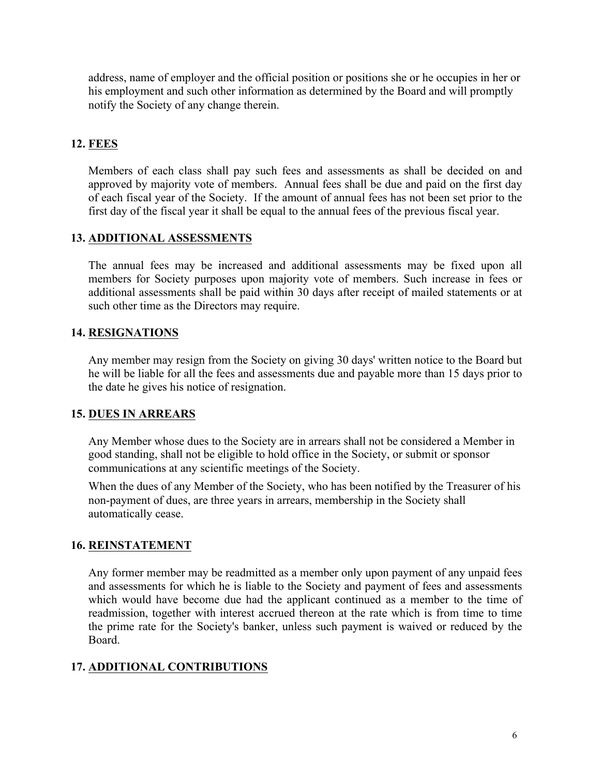address, name of employer and the official position or positions she or he occupies in her or his employment and such other information as determined by the Board and will promptly notify the Society of any change therein.

# **12. FEES**

Members of each class shall pay such fees and assessments as shall be decided on and approved by majority vote of members. Annual fees shall be due and paid on the first day of each fiscal year of the Society. If the amount of annual fees has not been set prior to the first day of the fiscal year it shall be equal to the annual fees of the previous fiscal year.

# **13. ADDITIONAL ASSESSMENTS**

The annual fees may be increased and additional assessments may be fixed upon all members for Society purposes upon majority vote of members. Such increase in fees or additional assessments shall be paid within 30 days after receipt of mailed statements or at such other time as the Directors may require.

# **14. RESIGNATIONS**

Any member may resign from the Society on giving 30 days' written notice to the Board but he will be liable for all the fees and assessments due and payable more than 15 days prior to the date he gives his notice of resignation.

# **15. DUES IN ARREARS**

Any Member whose dues to the Society are in arrears shall not be considered a Member in good standing, shall not be eligible to hold office in the Society, or submit or sponsor communications at any scientific meetings of the Society.

When the dues of any Member of the Society, who has been notified by the Treasurer of his non-payment of dues, are three years in arrears, membership in the Society shall automatically cease.

# **16. REINSTATEMENT**

Any former member may be readmitted as a member only upon payment of any unpaid fees and assessments for which he is liable to the Society and payment of fees and assessments which would have become due had the applicant continued as a member to the time of readmission, together with interest accrued thereon at the rate which is from time to time the prime rate for the Society's banker, unless such payment is waived or reduced by the Board.

# **17. ADDITIONAL CONTRIBUTIONS**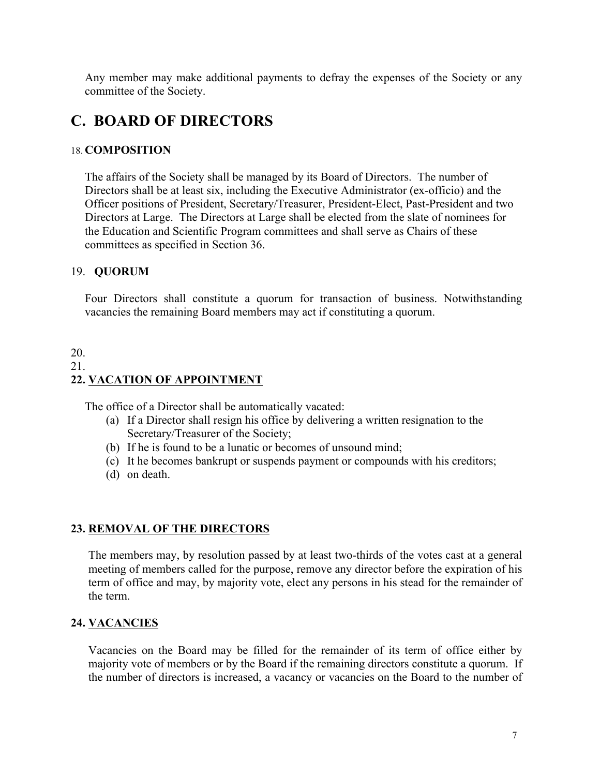Any member may make additional payments to defray the expenses of the Society or any committee of the Society.

# **C. BOARD OF DIRECTORS**

#### 18. **COMPOSITION**

The affairs of the Society shall be managed by its Board of Directors. The number of Directors shall be at least six, including the Executive Administrator (ex-officio) and the Officer positions of President, Secretary/Treasurer, President-Elect, Past-President and two Directors at Large. The Directors at Large shall be elected from the slate of nominees for the Education and Scientific Program committees and shall serve as Chairs of these committees as specified in Section 36.

#### 19. **QUORUM**

Four Directors shall constitute a quorum for transaction of business. Notwithstanding vacancies the remaining Board members may act if constituting a quorum.

# 20. 21. **22. VACATION OF APPOINTMENT**

The office of a Director shall be automatically vacated:

- (a) If a Director shall resign his office by delivering a written resignation to the Secretary/Treasurer of the Society;
- (b) If he is found to be a lunatic or becomes of unsound mind;
- (c) It he becomes bankrupt or suspends payment or compounds with his creditors;
- (d) on death.

#### **23. REMOVAL OF THE DIRECTORS**

The members may, by resolution passed by at least two-thirds of the votes cast at a general meeting of members called for the purpose, remove any director before the expiration of his term of office and may, by majority vote, elect any persons in his stead for the remainder of the term.

#### **24. VACANCIES**

Vacancies on the Board may be filled for the remainder of its term of office either by majority vote of members or by the Board if the remaining directors constitute a quorum. If the number of directors is increased, a vacancy or vacancies on the Board to the number of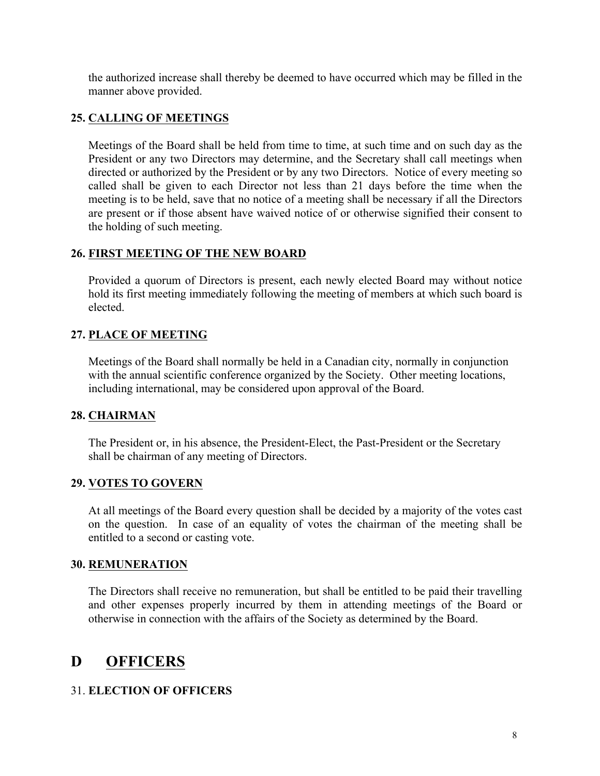the authorized increase shall thereby be deemed to have occurred which may be filled in the manner above provided.

# **25. CALLING OF MEETINGS**

Meetings of the Board shall be held from time to time, at such time and on such day as the President or any two Directors may determine, and the Secretary shall call meetings when directed or authorized by the President or by any two Directors. Notice of every meeting so called shall be given to each Director not less than 21 days before the time when the meeting is to be held, save that no notice of a meeting shall be necessary if all the Directors are present or if those absent have waived notice of or otherwise signified their consent to the holding of such meeting.

# **26. FIRST MEETING OF THE NEW BOARD**

Provided a quorum of Directors is present, each newly elected Board may without notice hold its first meeting immediately following the meeting of members at which such board is elected.

# **27. PLACE OF MEETING**

Meetings of the Board shall normally be held in a Canadian city, normally in conjunction with the annual scientific conference organized by the Society. Other meeting locations, including international, may be considered upon approval of the Board.

# **28. CHAIRMAN**

The President or, in his absence, the President-Elect, the Past-President or the Secretary shall be chairman of any meeting of Directors.

# **29. VOTES TO GOVERN**

At all meetings of the Board every question shall be decided by a majority of the votes cast on the question. In case of an equality of votes the chairman of the meeting shall be entitled to a second or casting vote.

# **30. REMUNERATION**

The Directors shall receive no remuneration, but shall be entitled to be paid their travelling and other expenses properly incurred by them in attending meetings of the Board or otherwise in connection with the affairs of the Society as determined by the Board.

# **D OFFICERS**

# 31. **ELECTION OF OFFICERS**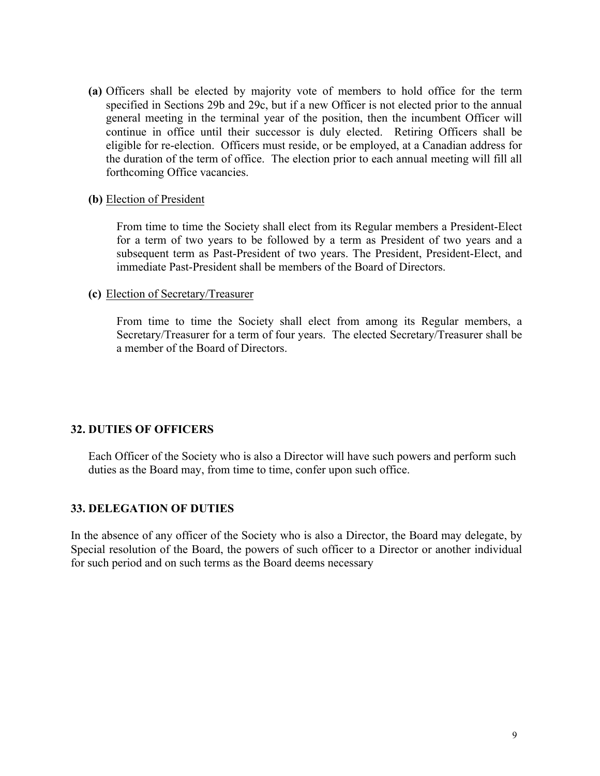**(a)** Officers shall be elected by majority vote of members to hold office for the term specified in Sections 29b and 29c, but if a new Officer is not elected prior to the annual general meeting in the terminal year of the position, then the incumbent Officer will continue in office until their successor is duly elected. Retiring Officers shall be eligible for re-election. Officers must reside, or be employed, at a Canadian address for the duration of the term of office. The election prior to each annual meeting will fill all forthcoming Office vacancies.

#### **(b)** Election of President

From time to time the Society shall elect from its Regular members a President-Elect for a term of two years to be followed by a term as President of two years and a subsequent term as Past-President of two years. The President, President-Elect, and immediate Past-President shall be members of the Board of Directors.

#### **(c)** Election of Secretary/Treasurer

From time to time the Society shall elect from among its Regular members, a Secretary/Treasurer for a term of four years. The elected Secretary/Treasurer shall be a member of the Board of Directors.

#### **32. DUTIES OF OFFICERS**

Each Officer of the Society who is also a Director will have such powers and perform such duties as the Board may, from time to time, confer upon such office.

#### **33. DELEGATION OF DUTIES**

In the absence of any officer of the Society who is also a Director, the Board may delegate, by Special resolution of the Board, the powers of such officer to a Director or another individual for such period and on such terms as the Board deems necessary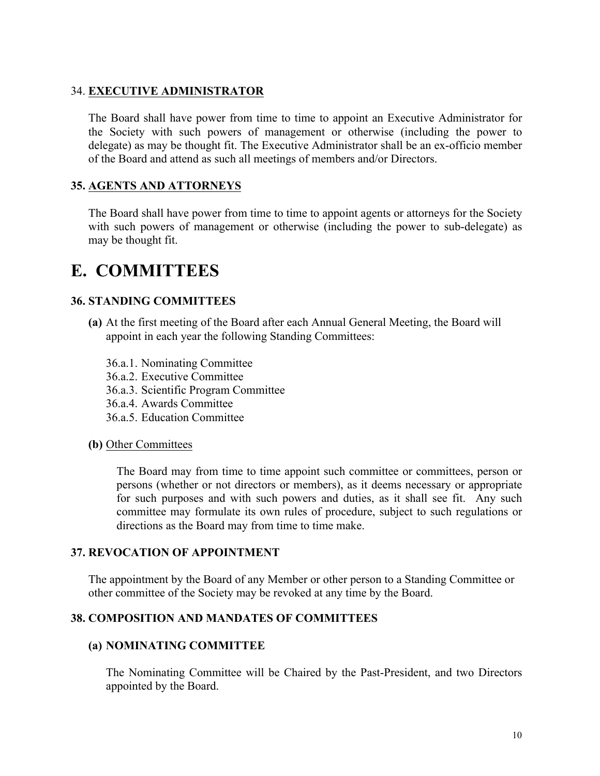### 34. **EXECUTIVE ADMINISTRATOR**

The Board shall have power from time to time to appoint an Executive Administrator for the Society with such powers of management or otherwise (including the power to delegate) as may be thought fit. The Executive Administrator shall be an ex-officio member of the Board and attend as such all meetings of members and/or Directors.

### **35. AGENTS AND ATTORNEYS**

The Board shall have power from time to time to appoint agents or attorneys for the Society with such powers of management or otherwise (including the power to sub-delegate) as may be thought fit.

# **E. COMMITTEES**

#### **36. STANDING COMMITTEES**

- **(a)** At the first meeting of the Board after each Annual General Meeting, the Board will appoint in each year the following Standing Committees:
	- 36.a.1. Nominating Committee
	- 36.a.2. Executive Committee
	- 36.a.3. Scientific Program Committee
	- 36.a.4. Awards Committee
	- 36.a.5. Education Committee

#### **(b)** Other Committees

The Board may from time to time appoint such committee or committees, person or persons (whether or not directors or members), as it deems necessary or appropriate for such purposes and with such powers and duties, as it shall see fit. Any such committee may formulate its own rules of procedure, subject to such regulations or directions as the Board may from time to time make.

#### **37. REVOCATION OF APPOINTMENT**

The appointment by the Board of any Member or other person to a Standing Committee or other committee of the Society may be revoked at any time by the Board.

#### **38. COMPOSITION AND MANDATES OF COMMITTEES**

#### **(a) NOMINATING COMMITTEE**

The Nominating Committee will be Chaired by the Past-President, and two Directors appointed by the Board.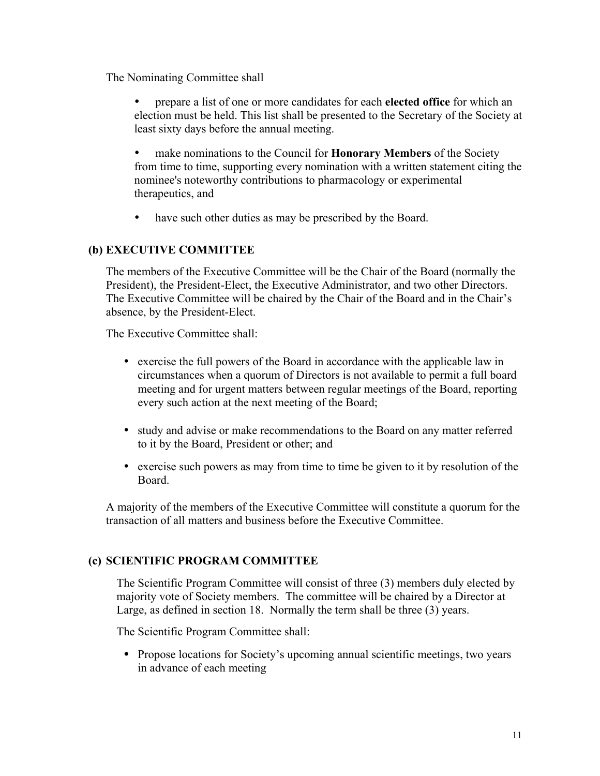The Nominating Committee shall

- prepare a list of one or more candidates for each **elected office** for which an election must be held. This list shall be presented to the Secretary of the Society at least sixty days before the annual meeting.
- make nominations to the Council for **Honorary Members** of the Society from time to time, supporting every nomination with a written statement citing the nominee's noteworthy contributions to pharmacology or experimental therapeutics, and
- have such other duties as may be prescribed by the Board.

# **(b) EXECUTIVE COMMITTEE**

The members of the Executive Committee will be the Chair of the Board (normally the President), the President-Elect, the Executive Administrator, and two other Directors. The Executive Committee will be chaired by the Chair of the Board and in the Chair's absence, by the President-Elect.

The Executive Committee shall:

- exercise the full powers of the Board in accordance with the applicable law in circumstances when a quorum of Directors is not available to permit a full board meeting and for urgent matters between regular meetings of the Board, reporting every such action at the next meeting of the Board;
- study and advise or make recommendations to the Board on any matter referred to it by the Board, President or other; and
- exercise such powers as may from time to time be given to it by resolution of the Board.

A majority of the members of the Executive Committee will constitute a quorum for the transaction of all matters and business before the Executive Committee.

# **(c) SCIENTIFIC PROGRAM COMMITTEE**

The Scientific Program Committee will consist of three (3) members duly elected by majority vote of Society members. The committee will be chaired by a Director at Large, as defined in section 18. Normally the term shall be three (3) years.

The Scientific Program Committee shall:

• Propose locations for Society's upcoming annual scientific meetings, two years in advance of each meeting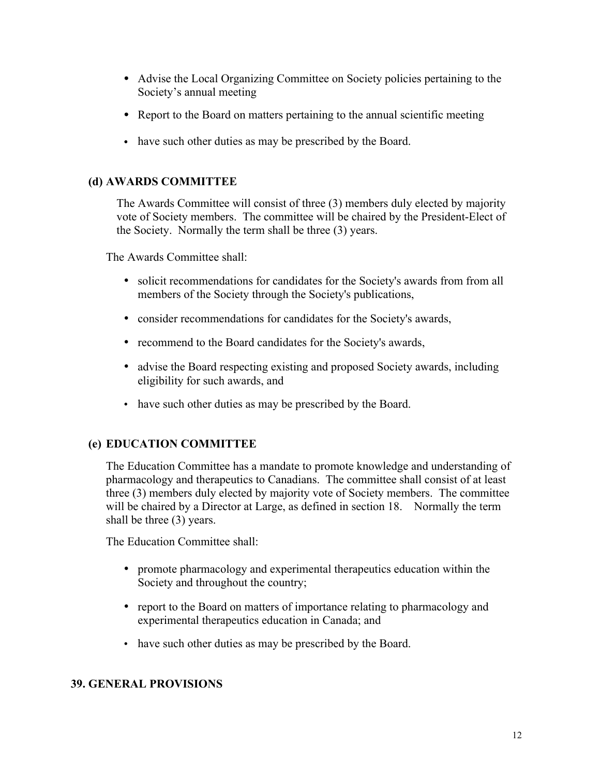- Advise the Local Organizing Committee on Society policies pertaining to the Society's annual meeting
- Report to the Board on matters pertaining to the annual scientific meeting
- have such other duties as may be prescribed by the Board.

# **(d) AWARDS COMMITTEE**

The Awards Committee will consist of three (3) members duly elected by majority vote of Society members. The committee will be chaired by the President-Elect of the Society. Normally the term shall be three (3) years.

The Awards Committee shall:

- solicit recommendations for candidates for the Society's awards from from all members of the Society through the Society's publications,
- consider recommendations for candidates for the Society's awards,
- recommend to the Board candidates for the Society's awards,
- advise the Board respecting existing and proposed Society awards, including eligibility for such awards, and
- have such other duties as may be prescribed by the Board.

# **(e) EDUCATION COMMITTEE**

The Education Committee has a mandate to promote knowledge and understanding of pharmacology and therapeutics to Canadians. The committee shall consist of at least three (3) members duly elected by majority vote of Society members. The committee will be chaired by a Director at Large, as defined in section 18. Normally the term shall be three (3) years.

The Education Committee shall:

- promote pharmacology and experimental therapeutics education within the Society and throughout the country;
- report to the Board on matters of importance relating to pharmacology and experimental therapeutics education in Canada; and
- have such other duties as may be prescribed by the Board.

# **39. GENERAL PROVISIONS**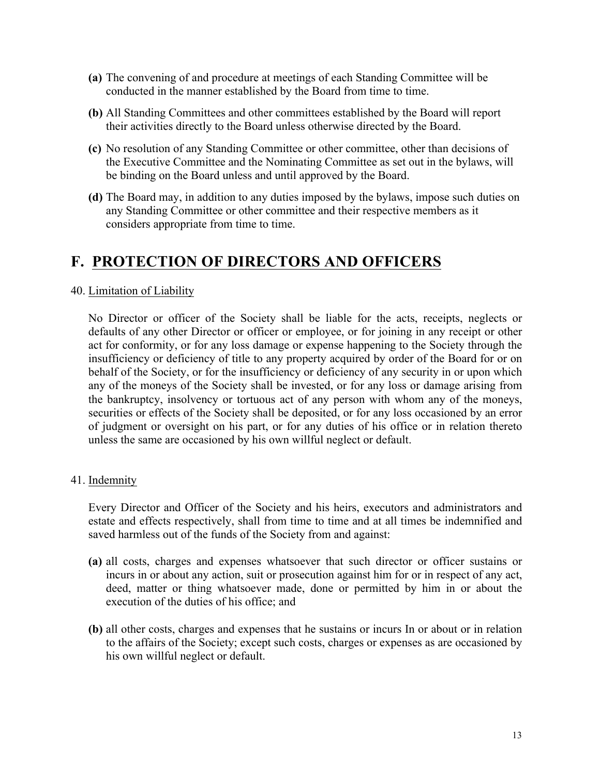- **(a)** The convening of and procedure at meetings of each Standing Committee will be conducted in the manner established by the Board from time to time.
- **(b)** All Standing Committees and other committees established by the Board will report their activities directly to the Board unless otherwise directed by the Board.
- **(c)** No resolution of any Standing Committee or other committee, other than decisions of the Executive Committee and the Nominating Committee as set out in the bylaws, will be binding on the Board unless and until approved by the Board.
- **(d)** The Board may, in addition to any duties imposed by the bylaws, impose such duties on any Standing Committee or other committee and their respective members as it considers appropriate from time to time.

# **F. PROTECTION OF DIRECTORS AND OFFICERS**

# 40. Limitation of Liability

No Director or officer of the Society shall be liable for the acts, receipts, neglects or defaults of any other Director or officer or employee, or for joining in any receipt or other act for conformity, or for any loss damage or expense happening to the Society through the insufficiency or deficiency of title to any property acquired by order of the Board for or on behalf of the Society, or for the insufficiency or deficiency of any security in or upon which any of the moneys of the Society shall be invested, or for any loss or damage arising from the bankruptcy, insolvency or tortuous act of any person with whom any of the moneys, securities or effects of the Society shall be deposited, or for any loss occasioned by an error of judgment or oversight on his part, or for any duties of his office or in relation thereto unless the same are occasioned by his own willful neglect or default.

# 41. Indemnity

Every Director and Officer of the Society and his heirs, executors and administrators and estate and effects respectively, shall from time to time and at all times be indemnified and saved harmless out of the funds of the Society from and against:

- **(a)** all costs, charges and expenses whatsoever that such director or officer sustains or incurs in or about any action, suit or prosecution against him for or in respect of any act, deed, matter or thing whatsoever made, done or permitted by him in or about the execution of the duties of his office; and
- **(b)** all other costs, charges and expenses that he sustains or incurs In or about or in relation to the affairs of the Society; except such costs, charges or expenses as are occasioned by his own willful neglect or default.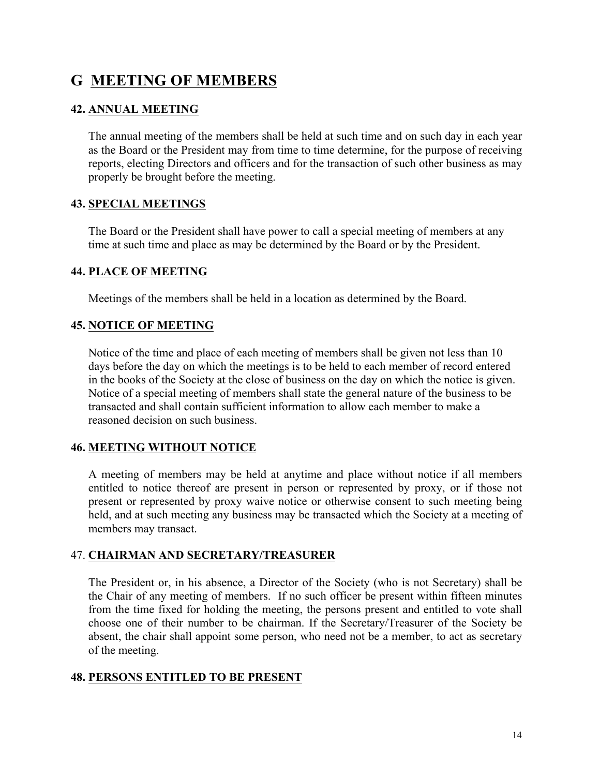# **G MEETING OF MEMBERS**

# **42. ANNUAL MEETING**

The annual meeting of the members shall be held at such time and on such day in each year as the Board or the President may from time to time determine, for the purpose of receiving reports, electing Directors and officers and for the transaction of such other business as may properly be brought before the meeting.

# **43. SPECIAL MEETINGS**

The Board or the President shall have power to call a special meeting of members at any time at such time and place as may be determined by the Board or by the President.

# **44. PLACE OF MEETING**

Meetings of the members shall be held in a location as determined by the Board.

# **45. NOTICE OF MEETING**

Notice of the time and place of each meeting of members shall be given not less than 10 days before the day on which the meetings is to be held to each member of record entered in the books of the Society at the close of business on the day on which the notice is given. Notice of a special meeting of members shall state the general nature of the business to be transacted and shall contain sufficient information to allow each member to make a reasoned decision on such business.

# **46. MEETING WITHOUT NOTICE**

A meeting of members may be held at anytime and place without notice if all members entitled to notice thereof are present in person or represented by proxy, or if those not present or represented by proxy waive notice or otherwise consent to such meeting being held, and at such meeting any business may be transacted which the Society at a meeting of members may transact.

# 47. **CHAIRMAN AND SECRETARY/TREASURER**

The President or, in his absence, a Director of the Society (who is not Secretary) shall be the Chair of any meeting of members. If no such officer be present within fifteen minutes from the time fixed for holding the meeting, the persons present and entitled to vote shall choose one of their number to be chairman. If the Secretary/Treasurer of the Society be absent, the chair shall appoint some person, who need not be a member, to act as secretary of the meeting.

# **48. PERSONS ENTITLED TO BE PRESENT**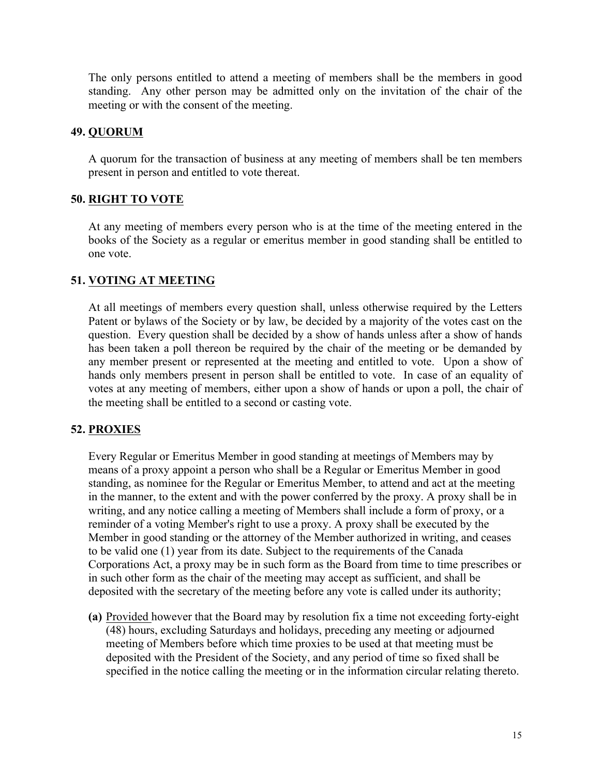The only persons entitled to attend a meeting of members shall be the members in good standing. Any other person may be admitted only on the invitation of the chair of the meeting or with the consent of the meeting.

# **49. QUORUM**

A quorum for the transaction of business at any meeting of members shall be ten members present in person and entitled to vote thereat.

# **50. RIGHT TO VOTE**

At any meeting of members every person who is at the time of the meeting entered in the books of the Society as a regular or emeritus member in good standing shall be entitled to one vote.

# **51. VOTING AT MEETING**

At all meetings of members every question shall, unless otherwise required by the Letters Patent or bylaws of the Society or by law, be decided by a majority of the votes cast on the question. Every question shall be decided by a show of hands unless after a show of hands has been taken a poll thereon be required by the chair of the meeting or be demanded by any member present or represented at the meeting and entitled to vote. Upon a show of hands only members present in person shall be entitled to vote. In case of an equality of votes at any meeting of members, either upon a show of hands or upon a poll, the chair of the meeting shall be entitled to a second or casting vote.

# **52. PROXIES**

Every Regular or Emeritus Member in good standing at meetings of Members may by means of a proxy appoint a person who shall be a Regular or Emeritus Member in good standing, as nominee for the Regular or Emeritus Member, to attend and act at the meeting in the manner, to the extent and with the power conferred by the proxy. A proxy shall be in writing, and any notice calling a meeting of Members shall include a form of proxy, or a reminder of a voting Member's right to use a proxy. A proxy shall be executed by the Member in good standing or the attorney of the Member authorized in writing, and ceases to be valid one (1) year from its date. Subject to the requirements of the Canada Corporations Act, a proxy may be in such form as the Board from time to time prescribes or in such other form as the chair of the meeting may accept as sufficient, and shall be deposited with the secretary of the meeting before any vote is called under its authority;

**(a)** Provided however that the Board may by resolution fix a time not exceeding forty-eight (48) hours, excluding Saturdays and holidays, preceding any meeting or adjourned meeting of Members before which time proxies to be used at that meeting must be deposited with the President of the Society, and any period of time so fixed shall be specified in the notice calling the meeting or in the information circular relating thereto.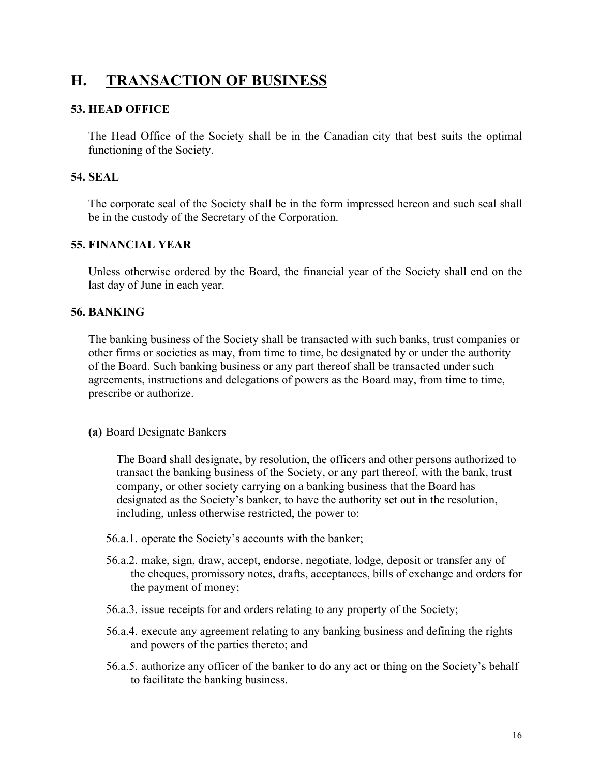# **H. TRANSACTION OF BUSINESS**

### **53. HEAD OFFICE**

The Head Office of the Society shall be in the Canadian city that best suits the optimal functioning of the Society.

# **54. SEAL**

The corporate seal of the Society shall be in the form impressed hereon and such seal shall be in the custody of the Secretary of the Corporation.

### **55. FINANCIAL YEAR**

Unless otherwise ordered by the Board, the financial year of the Society shall end on the last day of June in each year.

### **56. BANKING**

The banking business of the Society shall be transacted with such banks, trust companies or other firms or societies as may, from time to time, be designated by or under the authority of the Board. Such banking business or any part thereof shall be transacted under such agreements, instructions and delegations of powers as the Board may, from time to time, prescribe or authorize.

#### **(a)** Board Designate Bankers

The Board shall designate, by resolution, the officers and other persons authorized to transact the banking business of the Society, or any part thereof, with the bank, trust company, or other society carrying on a banking business that the Board has designated as the Society's banker, to have the authority set out in the resolution, including, unless otherwise restricted, the power to:

- 56.a.1. operate the Society's accounts with the banker;
- 56.a.2. make, sign, draw, accept, endorse, negotiate, lodge, deposit or transfer any of the cheques, promissory notes, drafts, acceptances, bills of exchange and orders for the payment of money;
- 56.a.3. issue receipts for and orders relating to any property of the Society;
- 56.a.4. execute any agreement relating to any banking business and defining the rights and powers of the parties thereto; and
- 56.a.5. authorize any officer of the banker to do any act or thing on the Society's behalf to facilitate the banking business.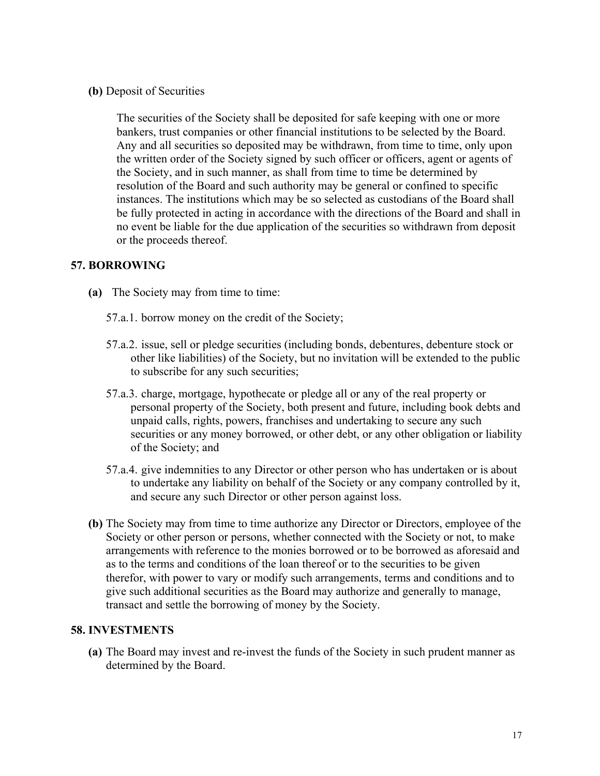**(b)** Deposit of Securities

The securities of the Society shall be deposited for safe keeping with one or more bankers, trust companies or other financial institutions to be selected by the Board. Any and all securities so deposited may be withdrawn, from time to time, only upon the written order of the Society signed by such officer or officers, agent or agents of the Society, and in such manner, as shall from time to time be determined by resolution of the Board and such authority may be general or confined to specific instances. The institutions which may be so selected as custodians of the Board shall be fully protected in acting in accordance with the directions of the Board and shall in no event be liable for the due application of the securities so withdrawn from deposit or the proceeds thereof.

# **57. BORROWING**

- **(a)** The Society may from time to time:
	- 57.a.1. borrow money on the credit of the Society;
	- 57.a.2. issue, sell or pledge securities (including bonds, debentures, debenture stock or other like liabilities) of the Society, but no invitation will be extended to the public to subscribe for any such securities;
	- 57.a.3. charge, mortgage, hypothecate or pledge all or any of the real property or personal property of the Society, both present and future, including book debts and unpaid calls, rights, powers, franchises and undertaking to secure any such securities or any money borrowed, or other debt, or any other obligation or liability of the Society; and
	- 57.a.4. give indemnities to any Director or other person who has undertaken or is about to undertake any liability on behalf of the Society or any company controlled by it, and secure any such Director or other person against loss.
- **(b)** The Society may from time to time authorize any Director or Directors, employee of the Society or other person or persons, whether connected with the Society or not, to make arrangements with reference to the monies borrowed or to be borrowed as aforesaid and as to the terms and conditions of the loan thereof or to the securities to be given therefor, with power to vary or modify such arrangements, terms and conditions and to give such additional securities as the Board may authorize and generally to manage, transact and settle the borrowing of money by the Society.

#### **58. INVESTMENTS**

**(a)** The Board may invest and re-invest the funds of the Society in such prudent manner as determined by the Board.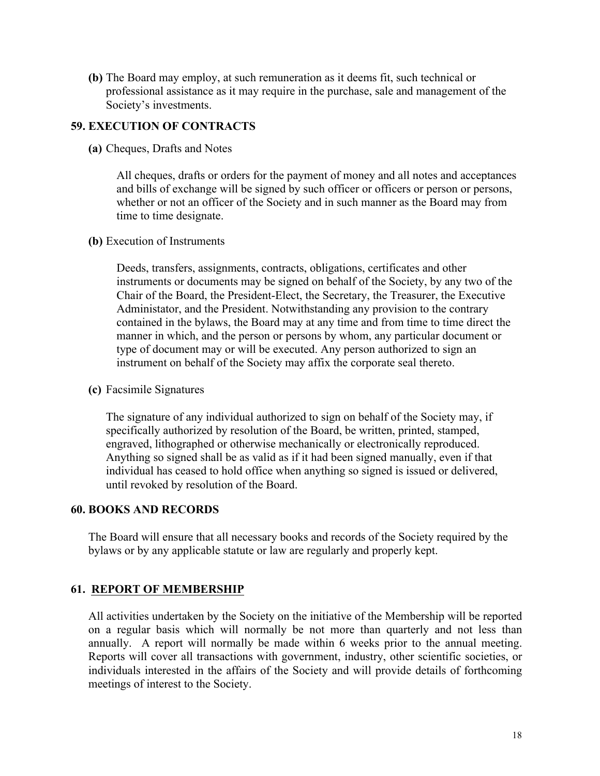**(b)** The Board may employ, at such remuneration as it deems fit, such technical or professional assistance as it may require in the purchase, sale and management of the Society's investments.

### **59. EXECUTION OF CONTRACTS**

**(a)** Cheques, Drafts and Notes

All cheques, drafts or orders for the payment of money and all notes and acceptances and bills of exchange will be signed by such officer or officers or person or persons, whether or not an officer of the Society and in such manner as the Board may from time to time designate.

**(b)** Execution of Instruments

Deeds, transfers, assignments, contracts, obligations, certificates and other instruments or documents may be signed on behalf of the Society, by any two of the Chair of the Board, the President-Elect, the Secretary, the Treasurer, the Executive Administator, and the President. Notwithstanding any provision to the contrary contained in the bylaws, the Board may at any time and from time to time direct the manner in which, and the person or persons by whom, any particular document or type of document may or will be executed. Any person authorized to sign an instrument on behalf of the Society may affix the corporate seal thereto.

**(c)** Facsimile Signatures

The signature of any individual authorized to sign on behalf of the Society may, if specifically authorized by resolution of the Board, be written, printed, stamped, engraved, lithographed or otherwise mechanically or electronically reproduced. Anything so signed shall be as valid as if it had been signed manually, even if that individual has ceased to hold office when anything so signed is issued or delivered, until revoked by resolution of the Board.

#### **60. BOOKS AND RECORDS**

The Board will ensure that all necessary books and records of the Society required by the bylaws or by any applicable statute or law are regularly and properly kept.

# **61. REPORT OF MEMBERSHIP**

All activities undertaken by the Society on the initiative of the Membership will be reported on a regular basis which will normally be not more than quarterly and not less than annually. A report will normally be made within 6 weeks prior to the annual meeting. Reports will cover all transactions with government, industry, other scientific societies, or individuals interested in the affairs of the Society and will provide details of forthcoming meetings of interest to the Society.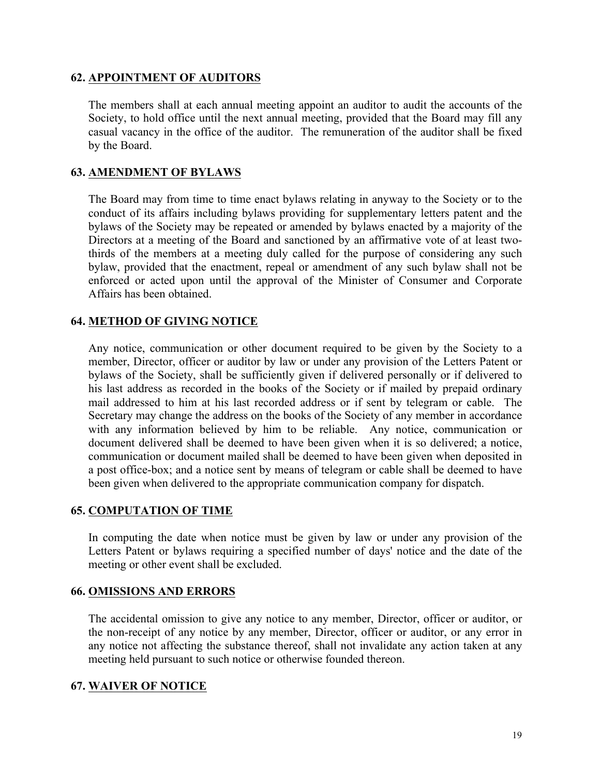### **62. APPOINTMENT OF AUDITORS**

The members shall at each annual meeting appoint an auditor to audit the accounts of the Society, to hold office until the next annual meeting, provided that the Board may fill any casual vacancy in the office of the auditor. The remuneration of the auditor shall be fixed by the Board.

### **63. AMENDMENT OF BYLAWS**

The Board may from time to time enact bylaws relating in anyway to the Society or to the conduct of its affairs including bylaws providing for supplementary letters patent and the bylaws of the Society may be repeated or amended by bylaws enacted by a majority of the Directors at a meeting of the Board and sanctioned by an affirmative vote of at least twothirds of the members at a meeting duly called for the purpose of considering any such bylaw, provided that the enactment, repeal or amendment of any such bylaw shall not be enforced or acted upon until the approval of the Minister of Consumer and Corporate Affairs has been obtained.

# **64. METHOD OF GIVING NOTICE**

Any notice, communication or other document required to be given by the Society to a member, Director, officer or auditor by law or under any provision of the Letters Patent or bylaws of the Society, shall be sufficiently given if delivered personally or if delivered to his last address as recorded in the books of the Society or if mailed by prepaid ordinary mail addressed to him at his last recorded address or if sent by telegram or cable. The Secretary may change the address on the books of the Society of any member in accordance with any information believed by him to be reliable. Any notice, communication or document delivered shall be deemed to have been given when it is so delivered; a notice, communication or document mailed shall be deemed to have been given when deposited in a post office-box; and a notice sent by means of telegram or cable shall be deemed to have been given when delivered to the appropriate communication company for dispatch.

#### **65. COMPUTATION OF TIME**

In computing the date when notice must be given by law or under any provision of the Letters Patent or bylaws requiring a specified number of days' notice and the date of the meeting or other event shall be excluded.

#### **66. OMISSIONS AND ERRORS**

The accidental omission to give any notice to any member, Director, officer or auditor, or the non-receipt of any notice by any member, Director, officer or auditor, or any error in any notice not affecting the substance thereof, shall not invalidate any action taken at any meeting held pursuant to such notice or otherwise founded thereon.

#### **67. WAIVER OF NOTICE**